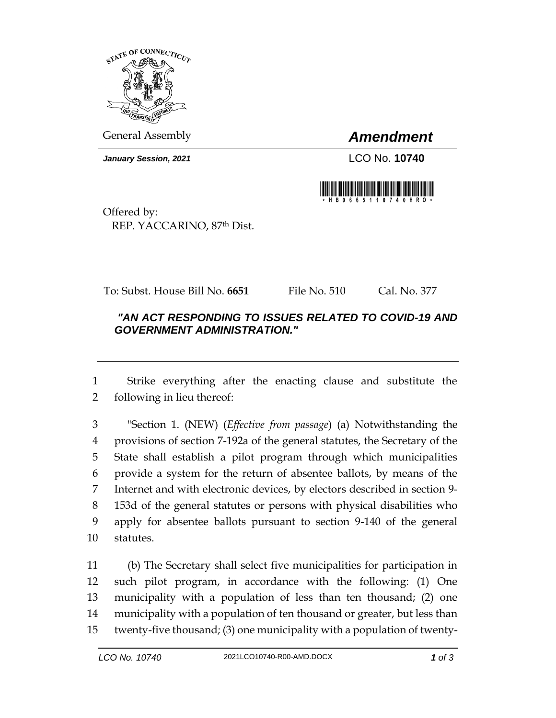

General Assembly *Amendment*

*January Session, 2021* LCO No. **10740**



Offered by: REP. YACCARINO, 87th Dist.

To: Subst. House Bill No. **6651** File No. 510 Cal. No. 377

## *"AN ACT RESPONDING TO ISSUES RELATED TO COVID-19 AND GOVERNMENT ADMINISTRATION."*

 Strike everything after the enacting clause and substitute the following in lieu thereof:

 "Section 1. (NEW) (*Effective from passage*) (a) Notwithstanding the provisions of section 7-192a of the general statutes, the Secretary of the State shall establish a pilot program through which municipalities provide a system for the return of absentee ballots, by means of the Internet and with electronic devices, by electors described in section 9- 153d of the general statutes or persons with physical disabilities who apply for absentee ballots pursuant to section 9-140 of the general statutes.

 (b) The Secretary shall select five municipalities for participation in such pilot program, in accordance with the following: (1) One municipality with a population of less than ten thousand; (2) one municipality with a population of ten thousand or greater, but less than twenty-five thousand; (3) one municipality with a population of twenty-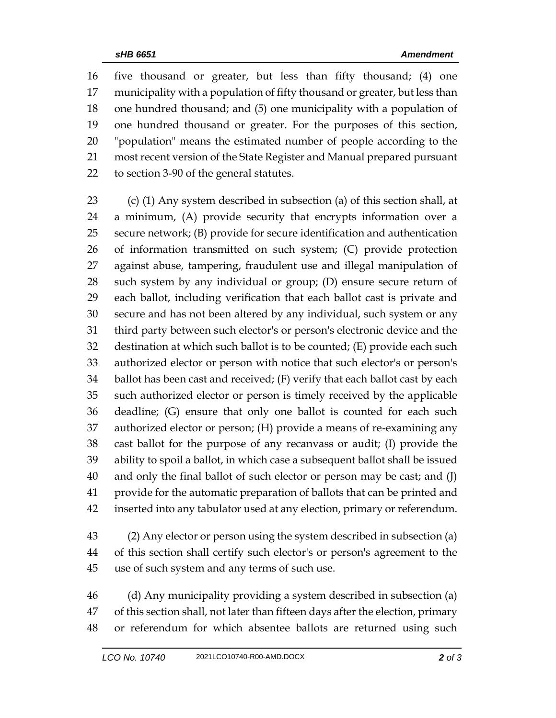five thousand or greater, but less than fifty thousand; (4) one municipality with a population of fifty thousand or greater, but less than one hundred thousand; and (5) one municipality with a population of one hundred thousand or greater. For the purposes of this section, "population" means the estimated number of people according to the most recent version of the State Register and Manual prepared pursuant to section 3-90 of the general statutes.

 (c) (1) Any system described in subsection (a) of this section shall, at a minimum, (A) provide security that encrypts information over a secure network; (B) provide for secure identification and authentication of information transmitted on such system; (C) provide protection against abuse, tampering, fraudulent use and illegal manipulation of such system by any individual or group; (D) ensure secure return of each ballot, including verification that each ballot cast is private and secure and has not been altered by any individual, such system or any third party between such elector's or person's electronic device and the destination at which such ballot is to be counted; (E) provide each such authorized elector or person with notice that such elector's or person's ballot has been cast and received; (F) verify that each ballot cast by each such authorized elector or person is timely received by the applicable deadline; (G) ensure that only one ballot is counted for each such authorized elector or person; (H) provide a means of re-examining any cast ballot for the purpose of any recanvass or audit; (I) provide the ability to spoil a ballot, in which case a subsequent ballot shall be issued and only the final ballot of such elector or person may be cast; and (J) provide for the automatic preparation of ballots that can be printed and inserted into any tabulator used at any election, primary or referendum.

 (2) Any elector or person using the system described in subsection (a) of this section shall certify such elector's or person's agreement to the use of such system and any terms of such use.

 (d) Any municipality providing a system described in subsection (a) of this section shall, not later than fifteen days after the election, primary or referendum for which absentee ballots are returned using such